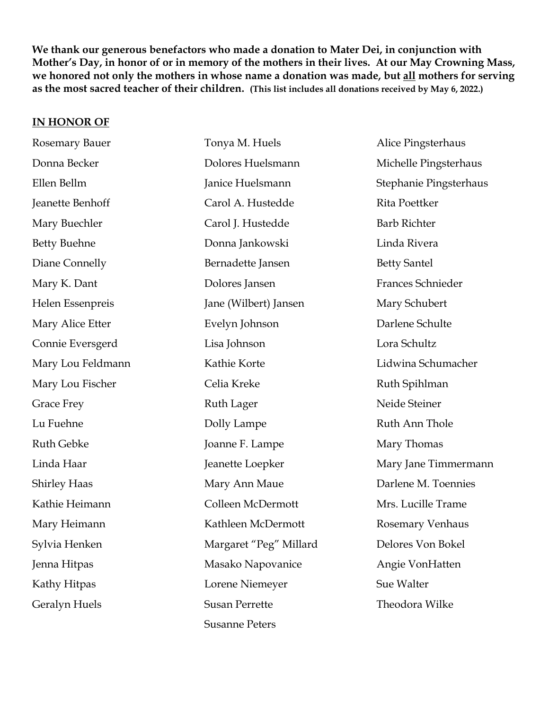**We thank our generous benefactors who made a donation to Mater Dei, in conjunction with Mother's Day, in honor of or in memory of the mothers in their lives. At our May Crowning Mass, we honored not only the mothers in whose name a donation was made, but all mothers for serving as the most sacred teacher of their children. (This list includes all donations received by May 6, 2022.)**

## **IN HONOR OF**

| Rosemary Bauer      | Tonya M. Huels         | Alice Pingsterhaus     |
|---------------------|------------------------|------------------------|
| Donna Becker        | Dolores Huelsmann      | Michelle Pingsterhaus  |
| Ellen Bellm         | Janice Huelsmann       | Stephanie Pingsterhaus |
| Jeanette Benhoff    | Carol A. Hustedde      | Rita Poettker          |
| Mary Buechler       | Carol J. Hustedde      | <b>Barb Richter</b>    |
| <b>Betty Buehne</b> | Donna Jankowski        | Linda Rivera           |
| Diane Connelly      | Bernadette Jansen      | <b>Betty Santel</b>    |
| Mary K. Dant        | Dolores Jansen         | Frances Schnieder      |
| Helen Essenpreis    | Jane (Wilbert) Jansen  | Mary Schubert          |
| Mary Alice Etter    | Evelyn Johnson         | Darlene Schulte        |
| Connie Eversgerd    | Lisa Johnson           | Lora Schultz           |
| Mary Lou Feldmann   | Kathie Korte           | Lidwina Schumacher     |
| Mary Lou Fischer    | Celia Kreke            | Ruth Spihlman          |
| <b>Grace Frey</b>   | <b>Ruth Lager</b>      | Neide Steiner          |
| Lu Fuehne           | Dolly Lampe            | Ruth Ann Thole         |
| Ruth Gebke          | Joanne F. Lampe        | Mary Thomas            |
| Linda Haar          | Jeanette Loepker       | Mary Jane Timmermann   |
| <b>Shirley Haas</b> | Mary Ann Maue          | Darlene M. Toennies    |
| Kathie Heimann      | Colleen McDermott      | Mrs. Lucille Trame     |
| Mary Heimann        | Kathleen McDermott     | Rosemary Venhaus       |
| Sylvia Henken       | Margaret "Peg" Millard | Delores Von Bokel      |
| Jenna Hitpas        | Masako Napovanice      | Angie VonHatten        |
| Kathy Hitpas        | Lorene Niemeyer        | Sue Walter             |
| Geralyn Huels       | <b>Susan Perrette</b>  | Theodora Wilke         |
|                     | <b>Susanne Peters</b>  |                        |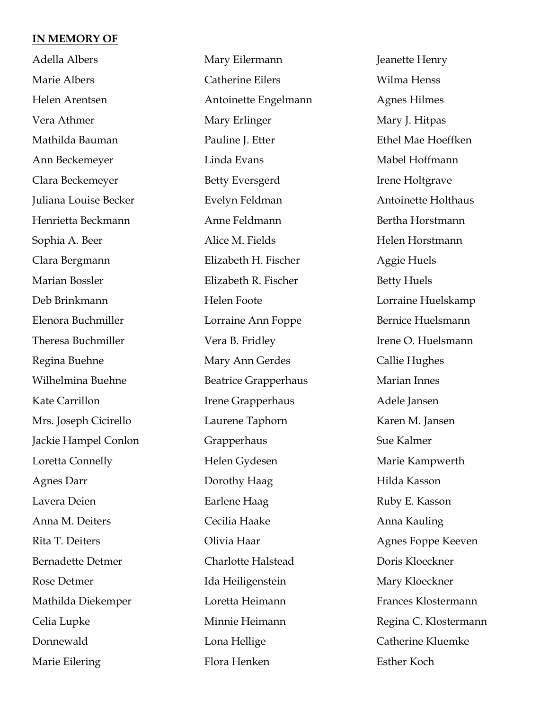## **IN MEMORY OF**

Adella Albers Marie Albers Helen Arentsen Vera Athmer Mathilda Bauman Ann Beckemeyer Clara Beckemeyer Juliana Louise Becker Henrietta Beckmann Sophia A. Beer Clara Bergmann Marian Bossler Deb Brinkmann Elenora Buchmiller Theresa Buchmiller Regina Buehne Wilhelmina Buehne Kate Carrillon Mrs. Joseph Cicirello Jackie Hampel Conlon Loretta Connelly Agnes Darr Lavera Deien Anna M. Deiters Rita T. Deiters Bernadette Detmer Rose Detmer Mathilda Diekemper Celia Lupke Donnewald Marie Eilering

Mary Eilermann Catherine Eilers Antoinette Engelmann Mary Erlinger Pauline J. Etter Linda Evans Betty Eversgerd Evelyn Feldman Anne Feldmann Alice M. Fields Elizabeth H. Fischer Elizabeth R. Fischer Helen Foote Lorraine Ann Foppe Vera B. Fridley Mary Ann Gerdes Beatrice Grapperhaus Irene Grapperhaus Laurene Taphorn Grapperhaus Helen Gydesen Dorothy Haag Earlene Haag Cecilia Haake Olivia Haar Charlotte Halstead Ida Heiligenstein Loretta Heimann Minnie Heimann Lona Hellige Flora Henken

Jeanette Henry Wilma Henss Agnes Hilmes Mary J. Hitpas Ethel Mae Hoeffken Mabel Hoffmann Irene Holtgrave Antoinette Holthaus Bertha Horstmann Helen Horstmann Aggie Huels Betty Huels Lorraine Huelskamp Bernice Huelsmann Irene O. Huelsmann Callie Hughes Marian Innes Adele Jansen Karen M. Jansen Sue Kalmer Marie Kampwerth Hilda Kasson Ruby E. Kasson Anna Kauling Agnes Foppe Keeven Doris Kloeckner Mary Kloeckner Frances Klostermann Regina C. Klostermann Catherine Kluemke Esther Koch